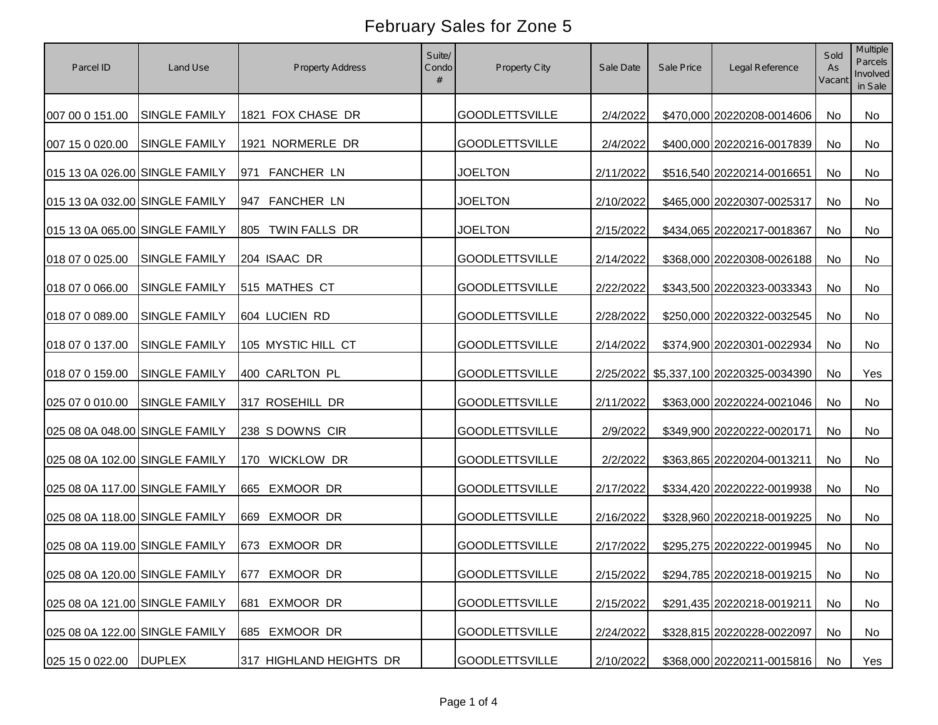| Parcel ID                      | Land Use                       | Property Address         | Suite/<br>Condo<br># | Property City         | Sale Date | Sale Price | Legal Reference                        | Sold<br>As<br>Vacant | Multiple<br><b>Parcels</b><br>Involved<br>in Sale |
|--------------------------------|--------------------------------|--------------------------|----------------------|-----------------------|-----------|------------|----------------------------------------|----------------------|---------------------------------------------------|
| 007 00 0 151.00                | <b>SINGLE FAMILY</b>           | 1821 FOX CHASE DR        |                      | <b>GOODLETTSVILLE</b> | 2/4/2022  |            | \$470,000 20220208-0014606             | No                   | No                                                |
| 007 15 0 020.00                | <b>SINGLE FAMILY</b>           | 1921 NORMERLE DR         |                      | <b>GOODLETTSVILLE</b> | 2/4/2022  |            | \$400,000 20220216-0017839             | No                   | No                                                |
| 015 13 0A 026.00 SINGLE FAMILY |                                | <b>FANCHER LN</b><br>971 |                      | <b>JOELTON</b>        | 2/11/2022 |            | \$516,540 20220214-0016651             | No                   | No                                                |
| 015 13 0A 032.00 SINGLE FAMILY |                                | 947 FANCHER LN           |                      | <b>JOELTON</b>        | 2/10/2022 |            | \$465,000 20220307-0025317             | No                   | No                                                |
| 015 13 0A 065.00 SINGLE FAMILY |                                | TWIN FALLS DR<br>805     |                      | <b>JOELTON</b>        | 2/15/2022 |            | \$434,065 20220217-0018367             | No                   | No                                                |
| 018 07 0 025.00                | <b>SINGLE FAMILY</b>           | 204 ISAAC DR             |                      | <b>GOODLETTSVILLE</b> | 2/14/2022 |            | \$368,000 20220308-0026188             | No                   | No                                                |
| 018 07 0 066.00                | <b>SINGLE FAMILY</b>           | 515 MATHES CT            |                      | <b>GOODLETTSVILLE</b> | 2/22/2022 |            | \$343,500 20220323-0033343             | No                   | No                                                |
| 018 07 0 089.00                | <b>SINGLE FAMILY</b>           | 604 LUCIEN RD            |                      | <b>GOODLETTSVILLE</b> | 2/28/2022 |            | \$250,000 20220322-0032545             | No                   | No                                                |
| 018 07 0 137.00                | <b>SINGLE FAMILY</b>           | 105 MYSTIC HILL CT       |                      | <b>GOODLETTSVILLE</b> | 2/14/2022 |            | \$374,900 20220301-0022934             | No                   | No                                                |
| 018 07 0 159.00                | <b>SINGLE FAMILY</b>           | 400 CARLTON PL           |                      | <b>GOODLETTSVILLE</b> |           |            | 2/25/2022 \$5,337,100 20220325-0034390 | No                   | Yes                                               |
| 025 07 0 010.00                | <b>SINGLE FAMILY</b>           | 317 ROSEHILL DR          |                      | <b>GOODLETTSVILLE</b> | 2/11/2022 |            | \$363,000 20220224-0021046             | No                   | No                                                |
| 025 08 0A 048.00 SINGLE FAMILY |                                | 238 S DOWNS CIR          |                      | <b>GOODLETTSVILLE</b> | 2/9/2022  |            | \$349,900 20220222-0020171             | No                   | No                                                |
| 025 08 0A 102.00 SINGLE FAMILY |                                | <b>WICKLOW DR</b><br>170 |                      | <b>GOODLETTSVILLE</b> | 2/2/2022  |            | \$363,865 20220204-0013211             | No                   | No                                                |
| 025 08 0A 117.00 SINGLE FAMILY |                                | 665 EXMOOR DR            |                      | <b>GOODLETTSVILLE</b> | 2/17/2022 |            | \$334,420 20220222-0019938             | No                   | No                                                |
| 025 08 0A 118.00 SINGLE FAMILY |                                | EXMOOR DR<br>669         |                      | <b>GOODLETTSVILLE</b> | 2/16/2022 |            | \$328,960 20220218-0019225             | No                   | No                                                |
| 025 08 0A 119.00 SINGLE FAMILY |                                | EXMOOR DR<br>673         |                      | <b>GOODLETTSVILLE</b> | 2/17/2022 |            | \$295,275 20220222-0019945             | No                   | No                                                |
|                                | 025 08 0A 120.00 SINGLE FAMILY | 677 EXMOOR DR            |                      | <b>GOODLETTSVILLE</b> | 2/15/2022 |            | \$294,785 20220218-0019215 No          |                      | No                                                |
| 025 08 0A 121.00 SINGLE FAMILY |                                | EXMOOR DR<br>681         |                      | <b>GOODLETTSVILLE</b> | 2/15/2022 |            | \$291,435 20220218-0019211             | No                   | No                                                |
| 025 08 0A 122.00 SINGLE FAMILY |                                | EXMOOR DR<br>685         |                      | <b>GOODLETTSVILLE</b> | 2/24/2022 |            | \$328,815 20220228-0022097             | No                   | No                                                |
| 025 15 0 022.00                | <b>DUPLEX</b>                  | 317 HIGHLAND HEIGHTS DR  |                      | <b>GOODLETTSVILLE</b> | 2/10/2022 |            | \$368,000 20220211-0015816             | No                   | Yes                                               |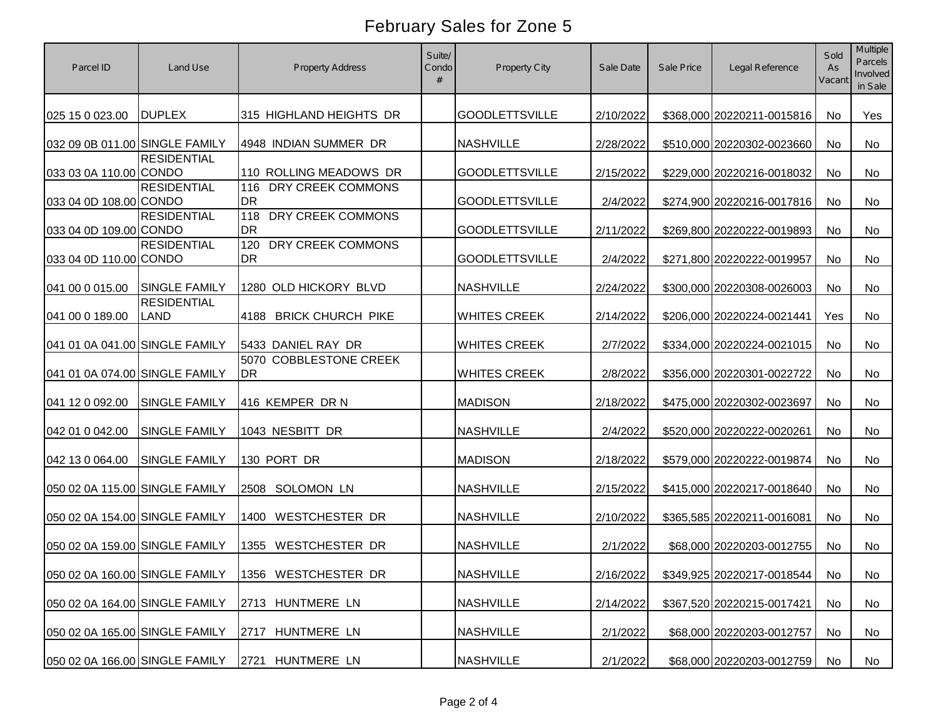| Parcel ID                      | Land Use                          | <b>Property Address</b>               | Suite/<br>Condo<br># | Property City         | Sale Date | Sale Price | Legal Reference            | Sold<br>As<br>Vacant | Multiple<br><b>Parcels</b><br>Involved<br>in Sale |
|--------------------------------|-----------------------------------|---------------------------------------|----------------------|-----------------------|-----------|------------|----------------------------|----------------------|---------------------------------------------------|
| 025 15 0 023.00                | <b>DUPLEX</b>                     | 315 HIGHLAND HEIGHTS DR               |                      | <b>GOODLETTSVILLE</b> | 2/10/2022 |            | \$368,000 20220211-0015816 | No                   | Yes                                               |
| 032 09 0B 011.00 SINGLE FAMILY |                                   | 4948 INDIAN SUMMER DR                 |                      | <b>NASHVILLE</b>      | 2/28/2022 |            | \$510,000 20220302-0023660 | No                   | No                                                |
| 033 03 0A 110.00 CONDO         | <b>RESIDENTIAL</b>                | 110 ROLLING MEADOWS DR                |                      | <b>GOODLETTSVILLE</b> | 2/15/2022 |            | \$229,000 20220216-0018032 | No                   | No                                                |
| 033 04 0D 108.00 CONDO         | <b>RESIDENTIAL</b>                | DRY CREEK COMMONS<br>116<br>DR        |                      | <b>GOODLETTSVILLE</b> | 2/4/2022  |            | \$274,900 20220216-0017816 | No                   | No                                                |
| 033 04 0D 109.00 CONDO         | <b>RESIDENTIAL</b>                | DRY CREEK COMMONS<br>118<br><b>DR</b> |                      | <b>GOODLETTSVILLE</b> | 2/11/2022 |            | \$269,800 20220222-0019893 | No                   | No                                                |
| 033 04 0D 110.00 CONDO         | <b>RESIDENTIAL</b>                | DRY CREEK COMMONS<br>120<br><b>DR</b> |                      | <b>GOODLETTSVILLE</b> | 2/4/2022  |            | \$271,800 20220222-0019957 | No                   | No                                                |
| 041 00 0 015.00                | <b>SINGLE FAMILY</b>              | 1280 OLD HICKORY BLVD                 |                      | <b>NASHVILLE</b>      | 2/24/2022 |            | \$300,000 20220308-0026003 | No                   | No                                                |
| 041 00 0 189.00                | <b>RESIDENTIAL</b><br><b>LAND</b> | 4188 BRICK CHURCH PIKE                |                      | <b>WHITES CREEK</b>   | 2/14/2022 |            | \$206,000 20220224-0021441 | Yes                  | No                                                |
| 041 01 0A 041.00 SINGLE FAMILY |                                   | 5433 DANIEL RAY DR                    |                      | <b>WHITES CREEK</b>   | 2/7/2022  |            | \$334,000 20220224-0021015 | No                   | No                                                |
| 041 01 0A 074.00 SINGLE FAMILY |                                   | 5070 COBBLESTONE CREEK<br><b>DR</b>   |                      | <b>WHITES CREEK</b>   | 2/8/2022  |            | \$356,000 20220301-0022722 | No                   | No                                                |
| 041 12 0 092.00                | <b>SINGLE FAMILY</b>              | 416 KEMPER DR N                       |                      | <b>MADISON</b>        | 2/18/2022 |            | \$475,000 20220302-0023697 | No                   | No                                                |
| 042 01 0 042.00                | <b>SINGLE FAMILY</b>              | 1043 NESBITT DR                       |                      | <b>NASHVILLE</b>      | 2/4/2022  |            | \$520,000 20220222-0020261 | No                   | No                                                |
| 042 13 0 064.00                | <b>SINGLE FAMILY</b>              | 130 PORT DR                           |                      | <b>MADISON</b>        | 2/18/2022 |            | \$579,000 20220222-0019874 | No                   | No                                                |
| 050 02 0A 115.00 SINGLE FAMILY |                                   | 2508 SOLOMON LN                       |                      | <b>NASHVILLE</b>      | 2/15/2022 |            | \$415,000 20220217-0018640 | No                   | No                                                |
| 050 02 0A 154.00 SINGLE FAMILY |                                   | <b>WESTCHESTER DR</b><br>1400         |                      | <b>NASHVILLE</b>      | 2/10/2022 |            | \$365,585 20220211-0016081 | <b>No</b>            | No                                                |
| 050 02 0A 159.00 SINGLE FAMILY |                                   | 1355 WESTCHESTER DR                   |                      | <b>NASHVILLE</b>      | 2/1/2022  |            | \$68,000 20220203-0012755  | No                   | No                                                |
|                                | 050 02 0A 160.00 SINGLE FAMILY    | 1356 WESTCHESTER DR                   |                      | NASHVILLE             | 2/16/2022 |            | \$349,925 20220217-0018544 | No                   | No                                                |
| 050 02 0A 164.00 SINGLE FAMILY |                                   | 2713 HUNTMERE LN                      |                      | <b>NASHVILLE</b>      | 2/14/2022 |            | \$367,520 20220215-0017421 | No                   | No                                                |
| 050 02 0A 165.00 SINGLE FAMILY |                                   | 2717 HUNTMERE LN                      |                      | <b>NASHVILLE</b>      | 2/1/2022  |            | \$68,000 20220203-0012757  | No                   | No                                                |
| 050 02 0A 166.00 SINGLE FAMILY |                                   | 2721 HUNTMERE LN                      |                      | <b>NASHVILLE</b>      | 2/1/2022  |            | \$68,000 20220203-0012759  | No                   | No                                                |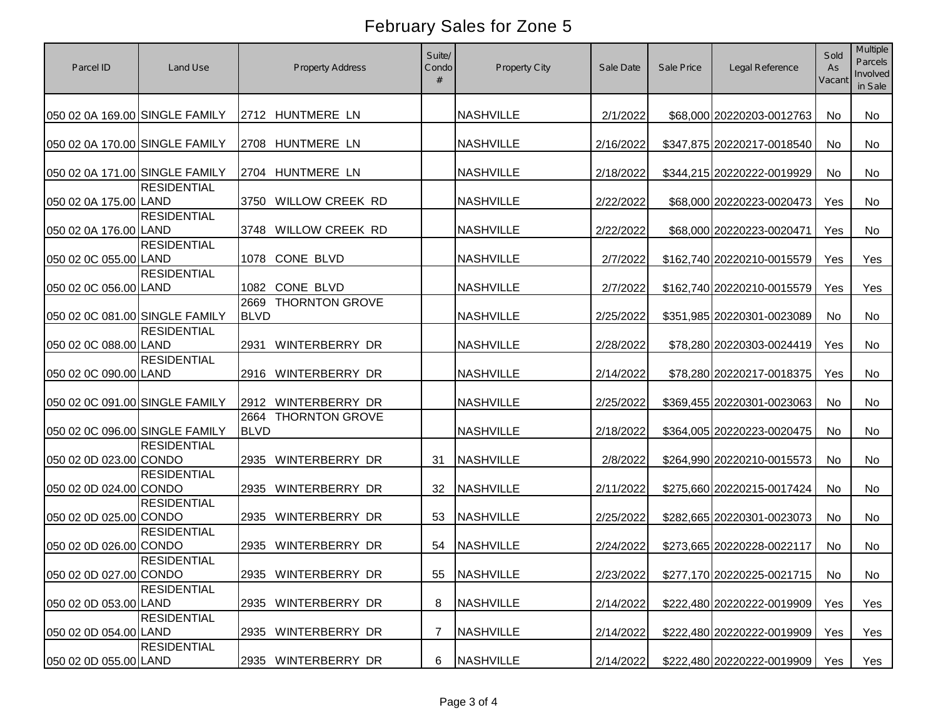| Parcel ID                      | Land Use           |                     | <b>Property Address</b> | Suite/<br>Condo<br># | <b>Property City</b> | Sale Date | Sale Price | Legal Reference               | Sold<br>As<br>Vacant | Multiple<br><b>Parcels</b><br>Involved<br>in Sale |
|--------------------------------|--------------------|---------------------|-------------------------|----------------------|----------------------|-----------|------------|-------------------------------|----------------------|---------------------------------------------------|
| 050 02 0A 169.00 SINGLE FAMILY |                    |                     | 2712 HUNTMERE LN        |                      | <b>NASHVILLE</b>     | 2/1/2022  |            | \$68,000 20220203-0012763     | No                   | No                                                |
| 050 02 0A 170.00 SINGLE FAMILY |                    |                     | 2708 HUNTMERE LN        |                      | <b>NASHVILLE</b>     | 2/16/2022 |            | \$347,875 20220217-0018540    | No                   | No                                                |
| 050 02 0A 171.00 SINGLE FAMILY |                    |                     | 2704 HUNTMERE LN        |                      | <b>NASHVILLE</b>     | 2/18/2022 |            | \$344,215 20220222-0019929    | No                   | No                                                |
| 050 02 0A 175.00 LAND          | <b>RESIDENTIAL</b> |                     | 3750 WILLOW CREEK RD    |                      | <b>NASHVILLE</b>     | 2/22/2022 |            | \$68,000 20220223-0020473     | Yes                  | No                                                |
| 050 02 0A 176.00 LAND          | <b>RESIDENTIAL</b> |                     | 3748 WILLOW CREEK RD    |                      | <b>NASHVILLE</b>     | 2/22/2022 |            | \$68,000 20220223-0020471     | Yes                  | No                                                |
| 050 02 0C 055.00 LAND          | <b>RESIDENTIAL</b> | 1078                | CONE BLVD               |                      | <b>NASHVILLE</b>     | 2/7/2022  |            | \$162,740 20220210-0015579    | Yes                  | Yes                                               |
| 050 02 0C 056.00 LAND          | <b>RESIDENTIAL</b> |                     | 1082 CONE BLVD          |                      | <b>NASHVILLE</b>     | 2/7/2022  |            | \$162,740 20220210-0015579    | Yes                  | Yes                                               |
| 050 02 0C 081.00 SINGLE FAMILY |                    | 2669<br><b>BLVD</b> | <b>THORNTON GROVE</b>   |                      | <b>NASHVILLE</b>     | 2/25/2022 |            | \$351,985 20220301-0023089    | No                   | No                                                |
| 050 02 0C 088.00 LAND          | <b>RESIDENTIAL</b> | 2931                | WINTERBERRY DR          |                      | <b>NASHVILLE</b>     | 2/28/2022 |            | \$78,280 20220303-0024419     | Yes                  | No                                                |
| 050 02 0C 090.00 LAND          | <b>RESIDENTIAL</b> | 2916                | WINTERBERRY DR          |                      | <b>NASHVILLE</b>     | 2/14/2022 |            | \$78,280 20220217-0018375     | Yes                  | No                                                |
| 050 02 0C 091.00 SINGLE FAMILY |                    | 2912                | WINTERBERRY DR          |                      | <b>NASHVILLE</b>     | 2/25/2022 |            | \$369,455 20220301-0023063    | No                   | No                                                |
| 050 02 0C 096.00 SINGLE FAMILY |                    | 2664<br><b>BLVD</b> | <b>THORNTON GROVE</b>   |                      | <b>NASHVILLE</b>     | 2/18/2022 |            | \$364,005 20220223-0020475    | No                   | No                                                |
| 050 02 0D 023.00 CONDO         | <b>RESIDENTIAL</b> | 2935                | <b>WINTERBERRY DR</b>   | 31                   | <b>NASHVILLE</b>     | 2/8/2022  |            | \$264,990 20220210-0015573    | No                   | No                                                |
| 050 02 0D 024.00 CONDO         | <b>RESIDENTIAL</b> | 2935                | WINTERBERRY DR          | 32                   | <b>NASHVILLE</b>     | 2/11/2022 |            | \$275,660 20220215-0017424    | No                   | No                                                |
| 050 02 0D 025.00 CONDO         | <b>RESIDENTIAL</b> | 2935                | WINTERBERRY DR          | 53                   | <b>NASHVILLE</b>     | 2/25/2022 |            | \$282,665 20220301-0023073    | No                   | No                                                |
| 050 02 0D 026.00 CONDO         | <b>RESIDENTIAL</b> | 2935                | WINTERBERRY DR          | 54                   | <b>NASHVILLE</b>     | 2/24/2022 |            | \$273,665 20220228-0022117    | <b>No</b>            | No                                                |
| 050 02 0D 027.00 CONDO         | <b>RESIDENTIAL</b> |                     | 2935 WINTERBERRY DR     |                      | 55 NASHVILLE         | 2/23/2022 |            | \$277,170 20220225-0021715 No |                      | No                                                |
| 050 02 0D 053.00 LAND          | <b>RESIDENTIAL</b> |                     | 2935 WINTERBERRY DR     | 8                    | <b>NASHVILLE</b>     | 2/14/2022 |            | \$222,480 20220222-0019909    | Yes                  | Yes                                               |
| 050 02 0D 054.00 LAND          | <b>RESIDENTIAL</b> |                     | 2935 WINTERBERRY DR     | 7                    | <b>NASHVILLE</b>     | 2/14/2022 |            | \$222,480 20220222-0019909    | Yes                  | Yes                                               |
| 050 02 0D 055.00 LAND          | <b>RESIDENTIAL</b> |                     | 2935 WINTERBERRY DR     | 6                    | <b>NASHVILLE</b>     | 2/14/2022 |            | \$222,480 20220222-0019909    | Yes                  | Yes                                               |